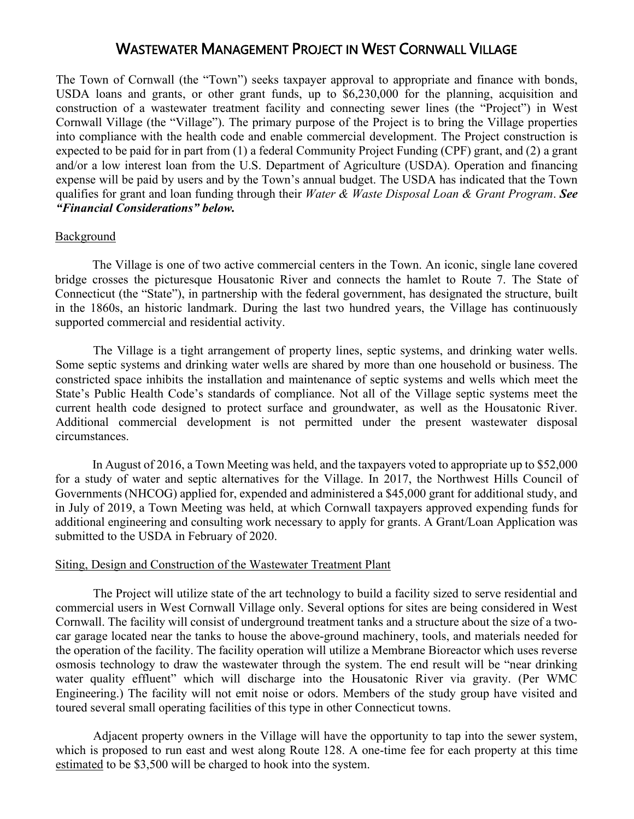# WASTEWATER MANAGEMENT PROJECT IN WEST CORNWALL VILLAGE

The Town of Cornwall (the "Town") seeks taxpayer approval to appropriate and finance with bonds, USDA loans and grants, or other grant funds, up to \$6,230,000 for the planning, acquisition and construction of a wastewater treatment facility and connecting sewer lines (the "Project") in West Cornwall Village (the "Village"). The primary purpose of the Project is to bring the Village properties into compliance with the health code and enable commercial development. The Project construction is expected to be paid for in part from (1) a federal Community Project Funding (CPF) grant, and (2) a grant and/or a low interest loan from the U.S. Department of Agriculture (USDA). Operation and financing expense will be paid by users and by the Town's annual budget. The USDA has indicated that the Town qualifies for grant and loan funding through their *Water & Waste Disposal Loan & Grant Program*. *See "Financial Considerations" below.*

## Background

The Village is one of two active commercial centers in the Town. An iconic, single lane covered bridge crosses the picturesque Housatonic River and connects the hamlet to Route 7. The State of Connecticut (the "State"), in partnership with the federal government, has designated the structure, built in the 1860s, an historic landmark. During the last two hundred years, the Village has continuously supported commercial and residential activity.

The Village is a tight arrangement of property lines, septic systems, and drinking water wells. Some septic systems and drinking water wells are shared by more than one household or business. The constricted space inhibits the installation and maintenance of septic systems and wells which meet the State's Public Health Code's standards of compliance. Not all of the Village septic systems meet the current health code designed to protect surface and groundwater, as well as the Housatonic River. Additional commercial development is not permitted under the present wastewater disposal circumstances.

In August of 2016, a Town Meeting was held, and the taxpayers voted to appropriate up to \$52,000 for a study of water and septic alternatives for the Village. In 2017, the Northwest Hills Council of Governments (NHCOG) applied for, expended and administered a \$45,000 grant for additional study, and in July of 2019, a Town Meeting was held, at which Cornwall taxpayers approved expending funds for additional engineering and consulting work necessary to apply for grants. A Grant/Loan Application was submitted to the USDA in February of 2020.

#### Siting, Design and Construction of the Wastewater Treatment Plant

The Project will utilize state of the art technology to build a facility sized to serve residential and commercial users in West Cornwall Village only. Several options for sites are being considered in West Cornwall. The facility will consist of underground treatment tanks and a structure about the size of a twocar garage located near the tanks to house the above-ground machinery, tools, and materials needed for the operation of the facility. The facility operation will utilize a Membrane Bioreactor which uses reverse osmosis technology to draw the wastewater through the system. The end result will be "near drinking water quality effluent" which will discharge into the Housatonic River via gravity. (Per WMC Engineering.) The facility will not emit noise or odors. Members of the study group have visited and toured several small operating facilities of this type in other Connecticut towns.

Adjacent property owners in the Village will have the opportunity to tap into the sewer system, which is proposed to run east and west along Route 128. A one-time fee for each property at this time estimated to be \$3,500 will be charged to hook into the system.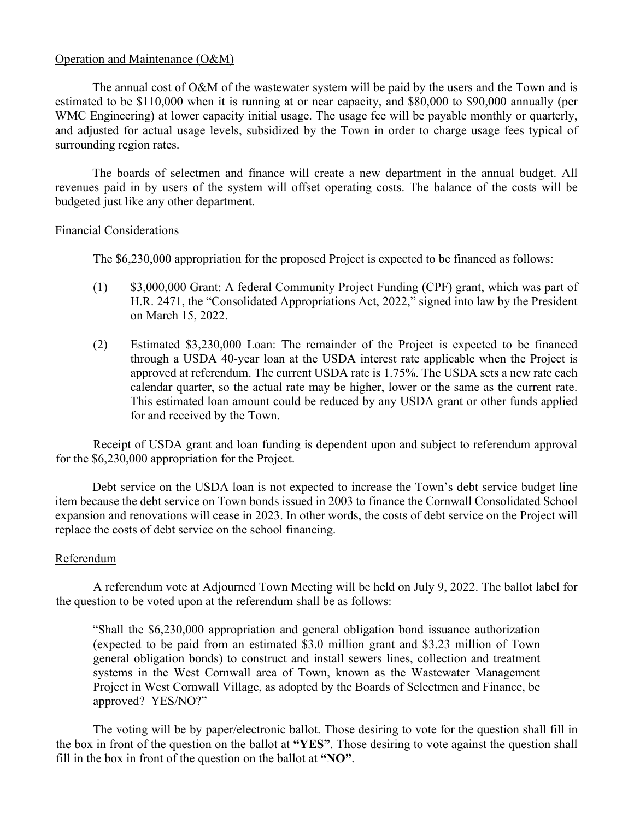### Operation and Maintenance (O&M)

The annual cost of O&M of the wastewater system will be paid by the users and the Town and is estimated to be \$110,000 when it is running at or near capacity, and \$80,000 to \$90,000 annually (per WMC Engineering) at lower capacity initial usage. The usage fee will be payable monthly or quarterly, and adjusted for actual usage levels, subsidized by the Town in order to charge usage fees typical of surrounding region rates.

The boards of selectmen and finance will create a new department in the annual budget. All revenues paid in by users of the system will offset operating costs. The balance of the costs will be budgeted just like any other department.

### Financial Considerations

The \$6,230,000 appropriation for the proposed Project is expected to be financed as follows:

- (1) \$3,000,000 Grant: A federal Community Project Funding (CPF) grant, which was part of H.R. 2471, the "Consolidated Appropriations Act, 2022," signed into law by the President on March 15, 2022.
- (2) Estimated \$3,230,000 Loan: The remainder of the Project is expected to be financed through a USDA 40-year loan at the USDA interest rate applicable when the Project is approved at referendum. The current USDA rate is 1.75%. The USDA sets a new rate each calendar quarter, so the actual rate may be higher, lower or the same as the current rate. This estimated loan amount could be reduced by any USDA grant or other funds applied for and received by the Town.

Receipt of USDA grant and loan funding is dependent upon and subject to referendum approval for the \$6,230,000 appropriation for the Project.

Debt service on the USDA loan is not expected to increase the Town's debt service budget line item because the debt service on Town bonds issued in 2003 to finance the Cornwall Consolidated School expansion and renovations will cease in 2023. In other words, the costs of debt service on the Project will replace the costs of debt service on the school financing.

## Referendum

A referendum vote at Adjourned Town Meeting will be held on July 9, 2022. The ballot label for the question to be voted upon at the referendum shall be as follows:

"Shall the \$6,230,000 appropriation and general obligation bond issuance authorization (expected to be paid from an estimated \$3.0 million grant and \$3.23 million of Town general obligation bonds) to construct and install sewers lines, collection and treatment systems in the West Cornwall area of Town, known as the Wastewater Management Project in West Cornwall Village, as adopted by the Boards of Selectmen and Finance, be approved? YES/NO?"

The voting will be by paper/electronic ballot. Those desiring to vote for the question shall fill in the box in front of the question on the ballot at **"YES"**. Those desiring to vote against the question shall fill in the box in front of the question on the ballot at **"NO"**.